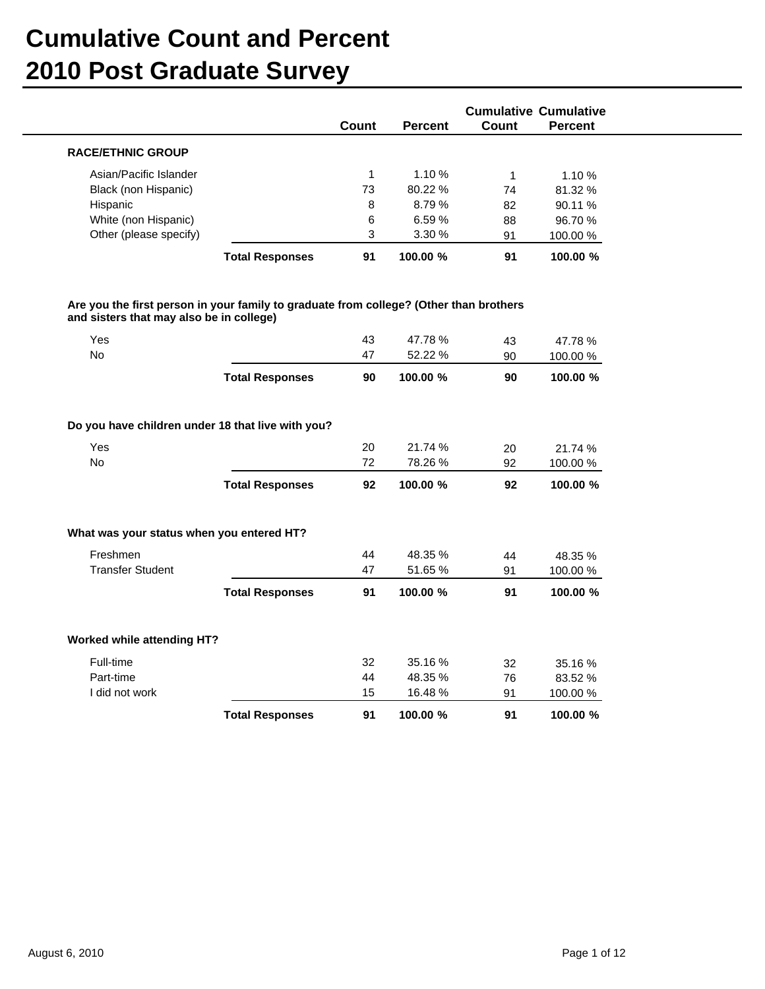|                                                                |                        |              |                    |              | <b>Cumulative Cumulative</b> |
|----------------------------------------------------------------|------------------------|--------------|--------------------|--------------|------------------------------|
|                                                                |                        | Count        | <b>Percent</b>     | <b>Count</b> | <b>Percent</b>               |
| <b>RACE/ETHNIC GROUP</b>                                       |                        |              |                    |              |                              |
| Asian/Pacific Islander                                         |                        | $\mathbf{1}$ | 1.10%              | $\mathbf{1}$ | 1.10%                        |
| Black (non Hispanic)                                           |                        | 73           | 80.22 %            | 74           | 81.32 %                      |
| Hispanic                                                       |                        | 8            | 8.79%              | 82           | 90.11 %                      |
| White (non Hispanic)                                           |                        | 6            | 6.59%              | 88           | 96.70 %                      |
| Other (please specify)                                         |                        | 3            | 3.30 %             | 91           | 100.00 %                     |
|                                                                | <b>Total Responses</b> | 91           | 100.00 %           | 91           | 100.00 %                     |
| and sisters that may also be in college)<br>Yes<br><b>No</b>   |                        | 43<br>47     | 47.78 %<br>52.22 % | 43<br>90     | 47.78 %<br>100.00 %          |
|                                                                | <b>Total Responses</b> | 90           | 100.00 %           | 90           | 100.00 %                     |
| Do you have children under 18 that live with you?<br>Yes<br>No |                        | 20<br>72     | 21.74 %<br>78.26 % | 20<br>92     | 21.74 %<br>100.00 %          |
|                                                                | <b>Total Responses</b> | 92           | 100.00 %           | 92           | 100.00 %                     |
| What was your status when you entered HT?                      |                        |              |                    |              |                              |
| Freshmen                                                       |                        | 44           | 48.35 %            | 44           | 48.35 %                      |
| <b>Transfer Student</b>                                        |                        | 47           | 51.65 %            | 91           | 100.00 %                     |
|                                                                | <b>Total Responses</b> | 91           | 100.00 %           | 91           | 100.00 %                     |
| Worked while attending HT?                                     |                        |              |                    |              |                              |
| Full-time                                                      |                        | 32           | 35.16%             | 32           | 35.16%                       |
| Part-time                                                      |                        | 44           | 48.35 %            | 76           | 83.52 %                      |
| I did not work                                                 |                        | 15           | 16.48%             | 91           | 100.00 %                     |

**Total Responses 91 100.00 91 100.00 % %**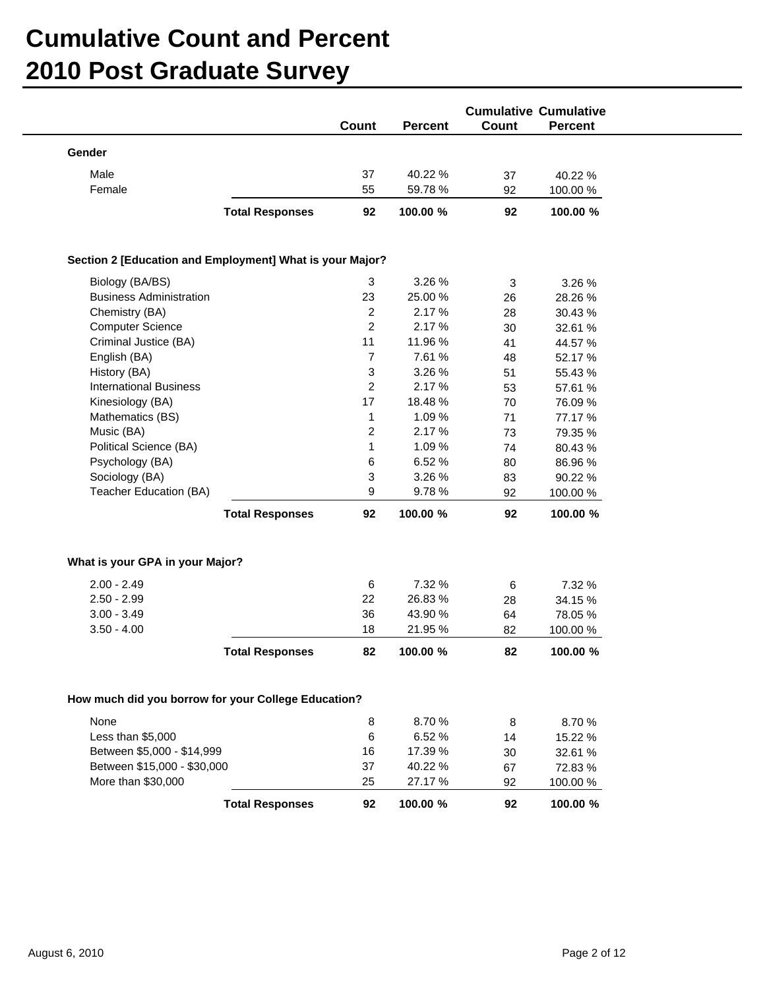|                                                          |                        | Count          | <b>Percent</b> | <b>Cumulative Cumulative</b><br><b>Count</b> | <b>Percent</b> |  |
|----------------------------------------------------------|------------------------|----------------|----------------|----------------------------------------------|----------------|--|
| Gender                                                   |                        |                |                |                                              |                |  |
| Male                                                     |                        | 37             | 40.22 %        | 37                                           | 40.22 %        |  |
| Female                                                   |                        | 55             | 59.78 %        | 92                                           | 100.00 %       |  |
|                                                          | <b>Total Responses</b> | 92             | 100.00 %       | 92                                           | 100.00 %       |  |
|                                                          |                        |                |                |                                              |                |  |
| Section 2 [Education and Employment] What is your Major? |                        |                |                |                                              |                |  |
| Biology (BA/BS)                                          |                        | 3              | 3.26 %         | 3                                            | 3.26 %         |  |
| <b>Business Administration</b>                           |                        | 23             | 25.00 %        | 26                                           | 28.26 %        |  |
| Chemistry (BA)                                           |                        | $\overline{2}$ | 2.17 %         | 28                                           | 30.43 %        |  |
| <b>Computer Science</b>                                  |                        | $\overline{2}$ | 2.17 %         | 30                                           | 32.61 %        |  |
| Criminal Justice (BA)                                    |                        | 11             | 11.96 %        | 41                                           | 44.57 %        |  |
| English (BA)                                             |                        | 7              | 7.61 %         | 48                                           | 52.17 %        |  |
| History (BA)                                             |                        | 3              | 3.26 %         | 51                                           | 55.43 %        |  |
| <b>International Business</b>                            |                        | $\overline{c}$ | 2.17 %         | 53                                           | 57.61 %        |  |
| Kinesiology (BA)                                         |                        | 17             | 18.48 %        | 70                                           | 76.09 %        |  |
| Mathematics (BS)                                         |                        | 1              | 1.09 %         | 71                                           | 77.17 %        |  |
| Music (BA)                                               |                        | $\overline{c}$ | 2.17 %         | 73                                           | 79.35 %        |  |
| Political Science (BA)                                   |                        | $\mathbf{1}$   | 1.09 %         | 74                                           | 80.43%         |  |
| Psychology (BA)                                          |                        | 6              | 6.52 %         | 80                                           | 86.96 %        |  |
| Sociology (BA)                                           |                        | 3              | 3.26 %         | 83                                           | 90.22 %        |  |
| Teacher Education (BA)                                   |                        | 9              | 9.78%          | 92                                           | 100.00 %       |  |
|                                                          | <b>Total Responses</b> | 92             | 100.00 %       | 92                                           | 100.00 %       |  |
|                                                          |                        |                |                |                                              |                |  |
| What is your GPA in your Major?                          |                        |                |                |                                              |                |  |
| $2.00 - 2.49$                                            |                        | 6              | 7.32 %         | 6                                            | 7.32 %         |  |
| $2.50 - 2.99$                                            |                        | 22             | 26.83%         | 28                                           | 34.15 %        |  |
| $3.00 - 3.49$                                            |                        | 36             | 43.90 %        | 64                                           | 78.05 %        |  |
| $3.50 - 4.00$                                            |                        | 18             | 21.95 %        | 82                                           | 100.00 %       |  |
|                                                          | <b>Total Responses</b> | 82             | 100.00 %       | 82                                           | 100.00 %       |  |
| How much did you borrow for your College Education?      |                        |                |                |                                              |                |  |
|                                                          |                        |                |                |                                              |                |  |
| None                                                     |                        | 8              | 8.70 %         | 8                                            | 8.70%          |  |
| Less than \$5,000                                        |                        | 6              | 6.52 %         | 14                                           | 15.22 %        |  |
| Between \$5,000 - \$14,999                               |                        | 16             | 17.39 %        | 30                                           | 32.61 %        |  |
| Between \$15,000 - \$30,000                              |                        | 37             | 40.22 %        | 67                                           | 72.83%         |  |
| More than \$30,000                                       |                        | 25             | 27.17 %        | 92                                           | 100.00 %       |  |
|                                                          | <b>Total Responses</b> | 92             | 100.00 %       | 92                                           | 100.00 %       |  |
|                                                          |                        |                |                |                                              |                |  |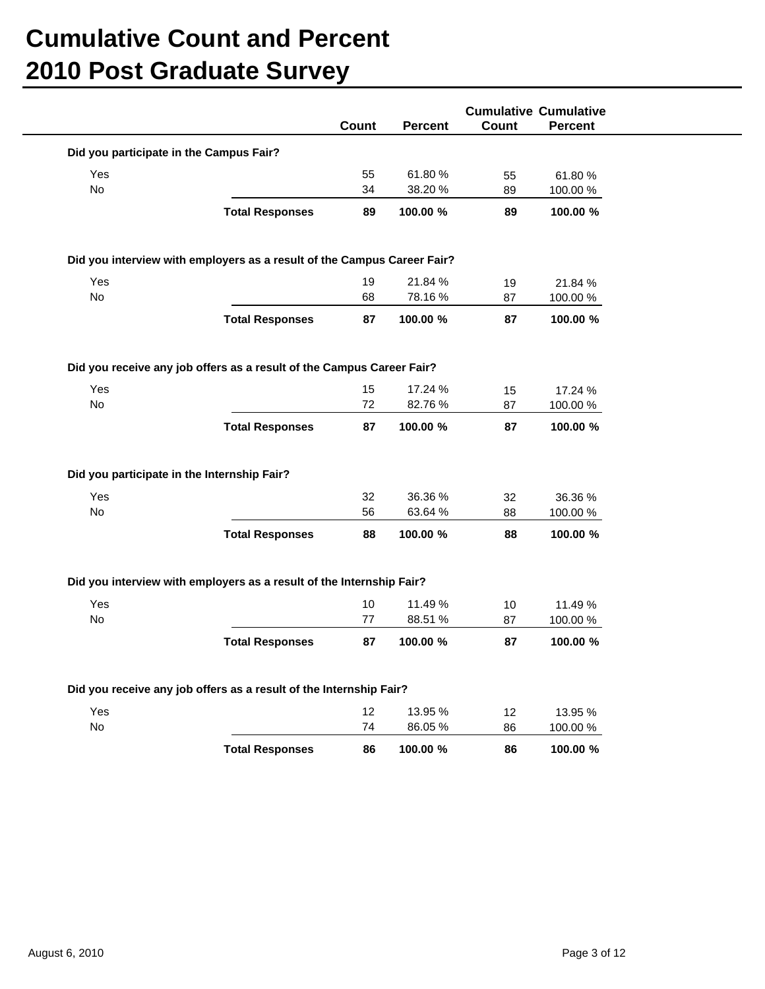|                                             |                                                                         | Count    | <b>Percent</b>     | Count    | <b>Cumulative Cumulative</b><br><b>Percent</b> |  |
|---------------------------------------------|-------------------------------------------------------------------------|----------|--------------------|----------|------------------------------------------------|--|
| Did you participate in the Campus Fair?     |                                                                         |          |                    |          |                                                |  |
| Yes                                         |                                                                         | 55       | 61.80%             | 55       | 61.80%                                         |  |
| No                                          |                                                                         | 34       | 38.20 %            | 89       | 100.00 %                                       |  |
|                                             | <b>Total Responses</b>                                                  | 89       | 100.00 %           | 89       | 100.00 %                                       |  |
|                                             | Did you interview with employers as a result of the Campus Career Fair? |          |                    |          |                                                |  |
| Yes                                         |                                                                         | 19       | 21.84 %            | 19       | 21.84 %                                        |  |
| No                                          |                                                                         | 68       | 78.16%             | 87       | 100.00 %                                       |  |
|                                             | <b>Total Responses</b>                                                  | 87       | 100.00 %           | 87       | 100.00 %                                       |  |
|                                             | Did you receive any job offers as a result of the Campus Career Fair?   |          |                    |          |                                                |  |
| Yes                                         |                                                                         | 15       | 17.24 %            | 15       | 17.24 %                                        |  |
| No                                          |                                                                         | 72       | 82.76%             | 87       | 100.00 %                                       |  |
|                                             | <b>Total Responses</b>                                                  | 87       | 100.00 %           | 87       | 100.00 %                                       |  |
| Did you participate in the Internship Fair? |                                                                         |          |                    |          |                                                |  |
| Yes                                         |                                                                         | 32       | 36.36 %            | 32       | 36.36 %                                        |  |
| No                                          |                                                                         | 56       | 63.64 %            | 88       | 100.00%                                        |  |
|                                             | <b>Total Responses</b>                                                  | 88       | 100.00 %           | 88       | 100.00 %                                       |  |
|                                             | Did you interview with employers as a result of the Internship Fair?    |          |                    |          |                                                |  |
| Yes                                         |                                                                         | $10$     | 11.49 %            | 10       | 11.49 %                                        |  |
| No                                          |                                                                         | 77       | 88.51 %            | 87       | 100.00 %                                       |  |
|                                             | <b>Total Responses</b>                                                  | 87       | 100.00 %           | 87       | 100.00 %                                       |  |
|                                             | Did you receive any job offers as a result of the Internship Fair?      |          |                    |          |                                                |  |
| Yes                                         |                                                                         |          |                    |          |                                                |  |
| No                                          |                                                                         | 12<br>74 | 13.95 %<br>86.05 % | 12<br>86 | 13.95 %<br>100.00 %                            |  |
|                                             |                                                                         |          |                    |          |                                                |  |
|                                             | <b>Total Responses</b>                                                  | 86       | 100.00 %           | 86       | 100.00 %                                       |  |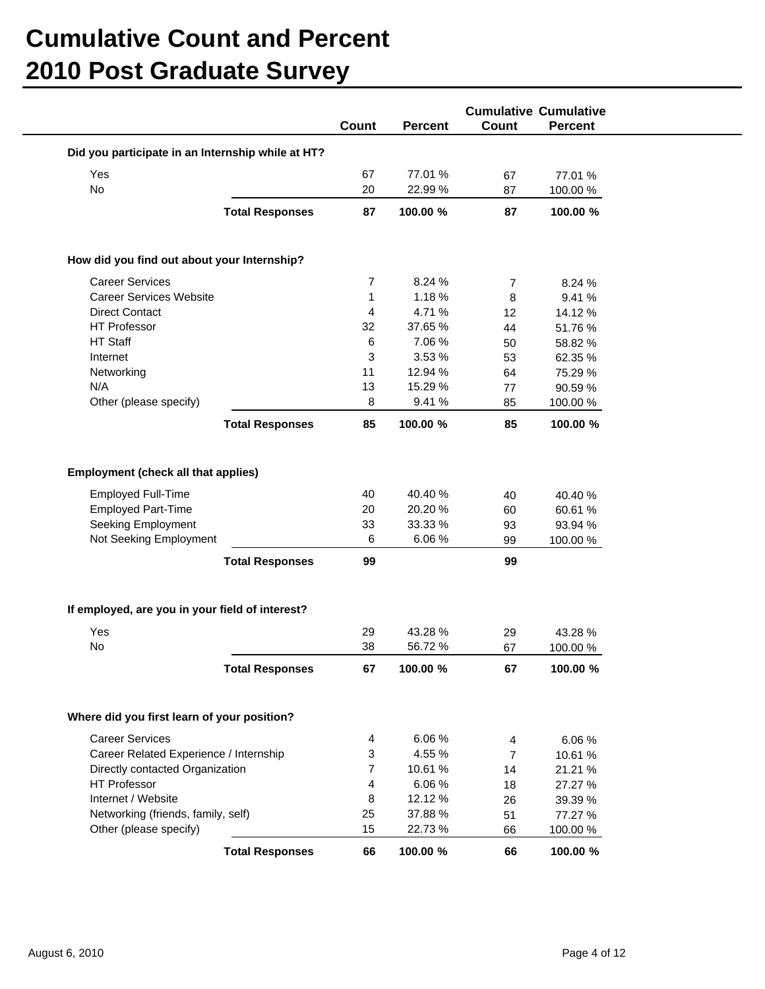|                                                   |                        |              |                   |                 | <b>Cumulative Cumulative</b> |
|---------------------------------------------------|------------------------|--------------|-------------------|-----------------|------------------------------|
|                                                   |                        | Count        | <b>Percent</b>    | Count           | <b>Percent</b>               |
| Did you participate in an Internship while at HT? |                        |              |                   |                 |                              |
| Yes                                               |                        | 67           | 77.01 %           | 67              | 77.01 %                      |
| No                                                |                        | 20           | 22.99 %           | 87              | 100.00 %                     |
|                                                   | <b>Total Responses</b> | 87           | 100.00 %          | 87              | 100.00 %                     |
|                                                   |                        |              |                   |                 |                              |
| How did you find out about your Internship?       |                        |              |                   |                 |                              |
| <b>Career Services</b>                            |                        | 7            | 8.24 %            | $\overline{7}$  | 8.24 %                       |
| <b>Career Services Website</b>                    |                        | $\mathbf{1}$ | 1.18 %            | 8               | 9.41 %                       |
| <b>Direct Contact</b>                             |                        | 4            | 4.71%             | 12 <sup>2</sup> | 14.12 %                      |
| <b>HT Professor</b>                               |                        | 32           | 37.65 %           | 44              | 51.76%                       |
| HT Staff                                          |                        | 6            | 7.06 %            | 50              | 58.82 %                      |
| Internet                                          |                        | 3            | 3.53 %            | 53              | 62.35 %                      |
| Networking                                        |                        | 11           | 12.94 %           | 64              | 75.29 %                      |
| N/A                                               |                        | 13           | 15.29 %           | 77              | 90.59 %                      |
| Other (please specify)                            |                        | 8            | 9.41 %            | 85              | 100.00 %                     |
|                                                   | <b>Total Responses</b> | 85           | 100.00 %          | 85              | 100.00 %                     |
| Seeking Employment<br>Not Seeking Employment      |                        | 33<br>6      | 33.33 %<br>6.06 % | 93<br>99        | 93.94 %<br>100.00 %          |
|                                                   | <b>Total Responses</b> | 99           |                   | 99              |                              |
| If employed, are you in your field of interest?   |                        |              |                   |                 |                              |
| Yes                                               |                        | 29           | 43.28 %           | 29              | 43.28 %                      |
| No                                                |                        | 38           | 56.72%            | 67              | 100.00 %                     |
|                                                   | <b>Total Responses</b> | 67           | 100.00 %          | 67              | 100.00 %                     |
| Where did you first learn of your position?       |                        |              |                   |                 |                              |
| <b>Career Services</b>                            |                        | 4            | 6.06%             | 4               | 6.06%                        |
| Career Related Experience / Internship            |                        | 3            | 4.55 %            | $\overline{7}$  | 10.61 %                      |
| Directly contacted Organization                   |                        | 7            | 10.61 %           | 14              | 21.21 %                      |
| <b>HT Professor</b>                               |                        | 4            | 6.06%             | 18              | 27.27 %                      |
| Internet / Website                                |                        | 8            | 12.12 %           | 26              | 39.39 %                      |
| Networking (friends, family, self)                |                        | 25           | 37.88 %           | 51              | 77.27 %                      |
| Other (please specify)                            |                        | 15           | 22.73 %           | 66              | 100.00 %                     |
|                                                   | <b>Total Responses</b> | 66           | 100.00 %          | 66              | 100.00 %                     |
|                                                   |                        |              |                   |                 |                              |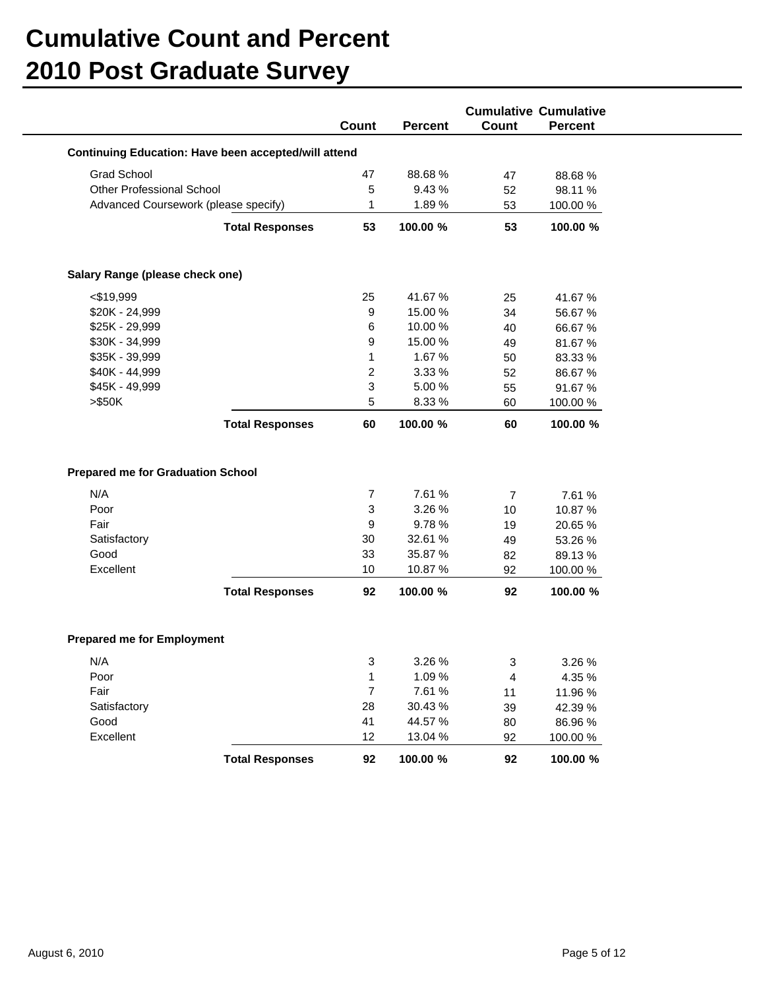|                                                             |                        |                |                |                | <b>Cumulative Cumulative</b> |
|-------------------------------------------------------------|------------------------|----------------|----------------|----------------|------------------------------|
|                                                             |                        | Count          | <b>Percent</b> | Count          | <b>Percent</b>               |
| <b>Continuing Education: Have been accepted/will attend</b> |                        |                |                |                |                              |
| <b>Grad School</b>                                          |                        | 47             | 88.68%         | 47             | 88.68%                       |
| Other Professional School                                   |                        | 5              | 9.43 %         | 52             | 98.11 %                      |
| Advanced Coursework (please specify)                        |                        | 1              | 1.89%          | 53             | 100.00 %                     |
|                                                             | <b>Total Responses</b> | 53             | 100.00 %       | 53             | 100.00 %                     |
| Salary Range (please check one)                             |                        |                |                |                |                              |
| $<$ \$19,999                                                |                        | 25             | 41.67%         | 25             | 41.67%                       |
| \$20K - 24,999                                              |                        | 9              | 15.00 %        | 34             | 56.67%                       |
| \$25K - 29,999                                              |                        | 6              | 10.00 %        | 40             | 66.67%                       |
| \$30K - 34,999                                              |                        | 9              | 15.00 %        | 49             | 81.67%                       |
| \$35K - 39,999                                              |                        | 1              | 1.67 %         | 50             | 83.33 %                      |
| \$40K - 44,999                                              |                        | 2              | 3.33 %         | 52             | 86.67%                       |
| \$45K - 49,999                                              |                        | 3              | 5.00 %         | 55             | 91.67%                       |
| > \$50K                                                     |                        | 5              | 8.33 %         | 60             | 100.00 %                     |
|                                                             | <b>Total Responses</b> | 60             | 100.00 %       | 60             | 100.00 %                     |
| <b>Prepared me for Graduation School</b><br>N/A             |                        | 7              | 7.61 %         | $\overline{7}$ | 7.61 %                       |
| Poor                                                        |                        | 3              | 3.26 %         | 10             | 10.87 %                      |
| Fair                                                        |                        | 9              | 9.78%          | 19             | 20.65 %                      |
| Satisfactory                                                |                        | 30             | 32.61 %        | 49             | 53.26 %                      |
| Good                                                        |                        | 33             | 35.87 %        | 82             | 89.13%                       |
| Excellent                                                   |                        | 10             | 10.87 %        | 92             | 100.00 %                     |
|                                                             | <b>Total Responses</b> | 92             | 100.00 %       | 92             | 100.00 %                     |
| <b>Prepared me for Employment</b>                           |                        |                |                |                |                              |
| N/A                                                         |                        | 3              | 3.26 %         | 3              | 3.26 %                       |
| Poor                                                        |                        | 1              | 1.09 %         | 4              | 4.35 %                       |
| Fair                                                        |                        | $\overline{7}$ | 7.61 %         | 11             | 11.96 %                      |
| Satisfactory                                                |                        | 28             | 30.43 %        | 39             | 42.39 %                      |
| Good                                                        |                        | 41             | 44.57 %        | 80             | 86.96 %                      |
| Excellent                                                   |                        | 12             | 13.04 %        | 92             | 100.00 %                     |
|                                                             | <b>Total Responses</b> | 92             | 100.00 %       | 92             | 100.00 %                     |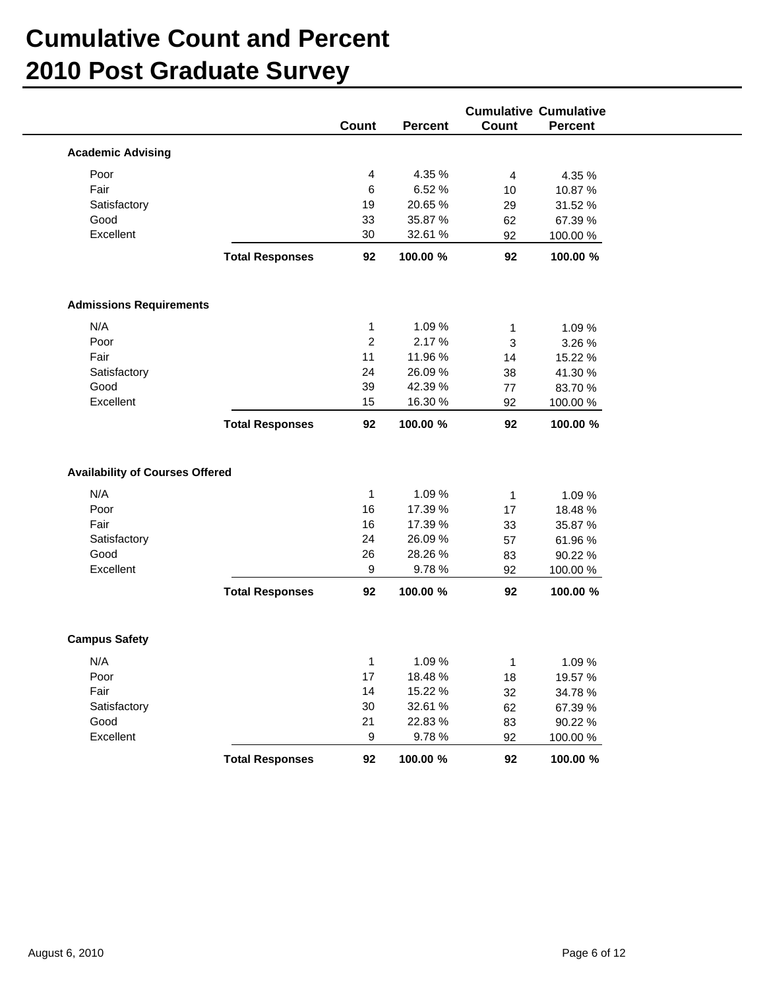|                                        |                        | Count          | <b>Percent</b> | Count          | <b>Cumulative Cumulative</b><br><b>Percent</b> |
|----------------------------------------|------------------------|----------------|----------------|----------------|------------------------------------------------|
|                                        |                        |                |                |                |                                                |
| <b>Academic Advising</b>               |                        |                |                |                |                                                |
| Poor                                   |                        | 4              | 4.35 %         | $\overline{4}$ | 4.35 %                                         |
| Fair                                   |                        | 6              | 6.52 %         | 10             | 10.87 %                                        |
| Satisfactory                           |                        | 19             | 20.65 %        | 29             | 31.52 %                                        |
| Good                                   |                        | 33             | 35.87 %        | 62             | 67.39 %                                        |
| Excellent                              |                        | 30             | 32.61 %        | 92             | 100.00 %                                       |
|                                        | <b>Total Responses</b> | 92             | 100.00 %       | 92             | 100.00 %                                       |
| <b>Admissions Requirements</b>         |                        |                |                |                |                                                |
| N/A                                    |                        | $\mathbf{1}$   | 1.09 %         | $\mathbf{1}$   | 1.09 %                                         |
| Poor                                   |                        | $\overline{c}$ | 2.17 %         | $\sqrt{3}$     | 3.26 %                                         |
| Fair                                   |                        | 11             | 11.96 %        | 14             | 15.22 %                                        |
| Satisfactory                           |                        | 24             | 26.09%         | 38             | 41.30 %                                        |
| Good                                   |                        | 39             | 42.39 %        | 77             | 83.70 %                                        |
| Excellent                              |                        | 15             | 16.30 %        | 92             | 100.00 %                                       |
|                                        | <b>Total Responses</b> | 92             | 100.00 %       | 92             | 100.00 %                                       |
| <b>Availability of Courses Offered</b> |                        |                |                |                |                                                |
| N/A                                    |                        | $\mathbf{1}$   | 1.09 %         | $\mathbf{1}$   | 1.09 %                                         |
| Poor                                   |                        | 16             | 17.39 %        | 17             | 18.48 %                                        |
| Fair                                   |                        | 16             | 17.39 %        | 33             | 35.87 %                                        |
| Satisfactory                           |                        | 24             | 26.09%         | 57             | 61.96%                                         |
| Good                                   |                        | 26             | 28.26 %        | 83             | 90.22 %                                        |
| Excellent                              |                        | 9              | 9.78%          | 92             | 100.00 %                                       |
|                                        | <b>Total Responses</b> | 92             | 100.00 %       | 92             | 100.00 %                                       |
| <b>Campus Safety</b>                   |                        |                |                |                |                                                |
| N/A                                    |                        | 1              | 1.09 %         | $\mathbf{1}$   | 1.09 %                                         |
| Poor                                   |                        | 17             | 18.48 %        | 18             | 19.57 %                                        |
| Fair                                   |                        | 14             | 15.22 %        | 32             | 34.78%                                         |
| Satisfactory                           |                        | 30             | 32.61 %        | 62             | 67.39 %                                        |
| Good                                   |                        | 21             | 22.83%         | 83             | 90.22 %                                        |
| Excellent                              |                        | 9              | 9.78%          | 92             | 100.00 %                                       |
|                                        | <b>Total Responses</b> | 92             | 100.00 %       | 92             | 100.00 %                                       |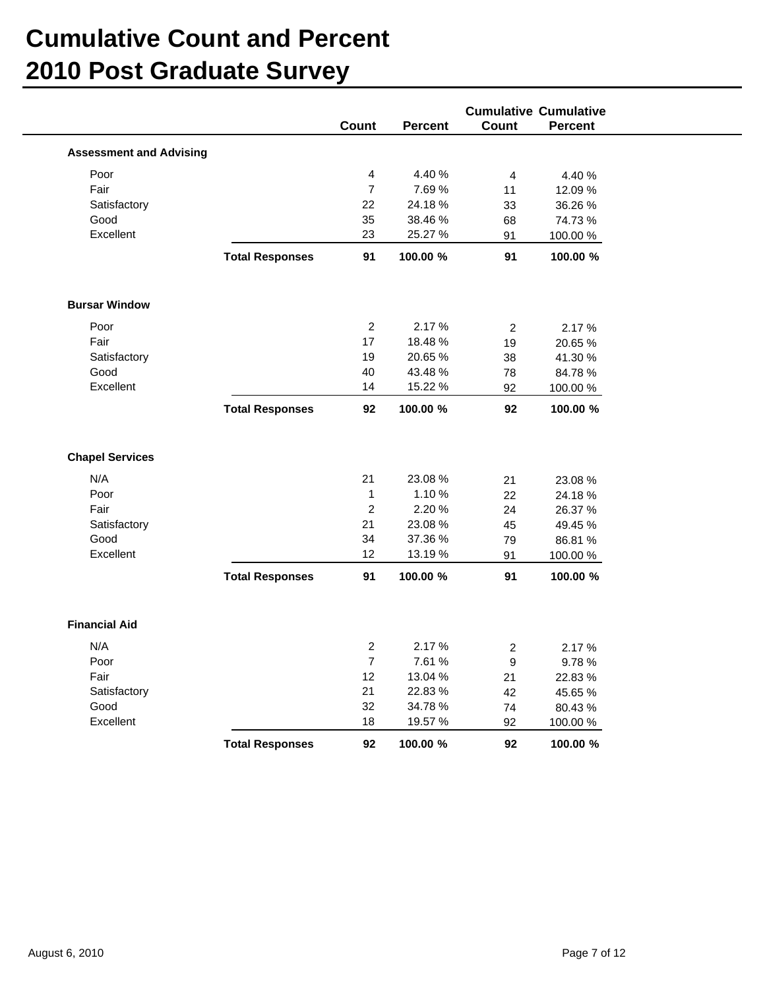|                                                                                    |                        |                                                        |                                                             |                                  | <b>Cumulative Cumulative</b>                                   |
|------------------------------------------------------------------------------------|------------------------|--------------------------------------------------------|-------------------------------------------------------------|----------------------------------|----------------------------------------------------------------|
|                                                                                    |                        | Count                                                  | <b>Percent</b>                                              | Count                            | <b>Percent</b>                                                 |
| <b>Assessment and Advising</b>                                                     |                        |                                                        |                                                             |                                  |                                                                |
| Poor                                                                               |                        | 4                                                      | 4.40 %                                                      | $\overline{4}$                   | 4.40 %                                                         |
| Fair                                                                               |                        | $\overline{7}$                                         | 7.69%                                                       | 11                               | 12.09 %                                                        |
| Satisfactory                                                                       |                        | 22                                                     | 24.18%                                                      | 33                               | 36.26 %                                                        |
| Good                                                                               |                        | 35                                                     | 38.46 %                                                     | 68                               | 74.73%                                                         |
| Excellent                                                                          |                        | 23                                                     | 25.27 %                                                     | 91                               | 100.00 %                                                       |
|                                                                                    | <b>Total Responses</b> | 91                                                     | 100.00 %                                                    | 91                               | 100.00 %                                                       |
| <b>Bursar Window</b>                                                               |                        |                                                        |                                                             |                                  |                                                                |
| Poor                                                                               |                        | $\overline{2}$                                         | 2.17 %                                                      | $\overline{2}$                   | 2.17 %                                                         |
| Fair                                                                               |                        | 17                                                     | 18.48%                                                      | 19                               | 20.65 %                                                        |
| Satisfactory                                                                       |                        | 19                                                     | 20.65 %                                                     | 38                               | 41.30 %                                                        |
| Good                                                                               |                        | 40                                                     | 43.48 %                                                     | 78                               | 84.78%                                                         |
| Excellent                                                                          |                        | 14                                                     | 15.22 %                                                     | 92                               | 100.00 %                                                       |
|                                                                                    | <b>Total Responses</b> | 92                                                     | 100.00 %                                                    | 92                               | 100.00 %                                                       |
| <b>Chapel Services</b><br>N/A<br>Poor<br>Fair<br>Satisfactory<br>Good<br>Excellent |                        | 21<br>$\mathbf{1}$<br>$\overline{c}$<br>21<br>34<br>12 | 23.08 %<br>1.10 %<br>2.20%<br>23.08 %<br>37.36 %<br>13.19 % | 21<br>22<br>24<br>45<br>79<br>91 | 23.08 %<br>24.18%<br>26.37 %<br>49.45 %<br>86.81 %<br>100.00 % |
|                                                                                    | <b>Total Responses</b> | 91                                                     | 100.00 %                                                    | 91                               | 100.00 %                                                       |
| <b>Financial Aid</b>                                                               |                        |                                                        |                                                             |                                  |                                                                |
| N/A                                                                                |                        | $\overline{a}$                                         | 2.17 %                                                      | $\overline{2}$                   | 2.17 %                                                         |
| Poor                                                                               |                        | $\overline{7}$                                         | 7.61 %                                                      | 9                                | 9.78%                                                          |
| Fair                                                                               |                        | 12                                                     | 13.04 %                                                     | 21                               | 22.83%                                                         |
| Satisfactory                                                                       |                        | 21                                                     | 22.83%                                                      | 42                               | 45.65 %                                                        |
| Good                                                                               |                        | $32\,$                                                 | 34.78 %                                                     | 74                               | 80.43%                                                         |
| Excellent                                                                          |                        | 18                                                     | 19.57 %                                                     | 92                               | 100.00 %                                                       |
|                                                                                    | <b>Total Responses</b> | 92                                                     | 100.00 %                                                    | 92                               | 100.00 %                                                       |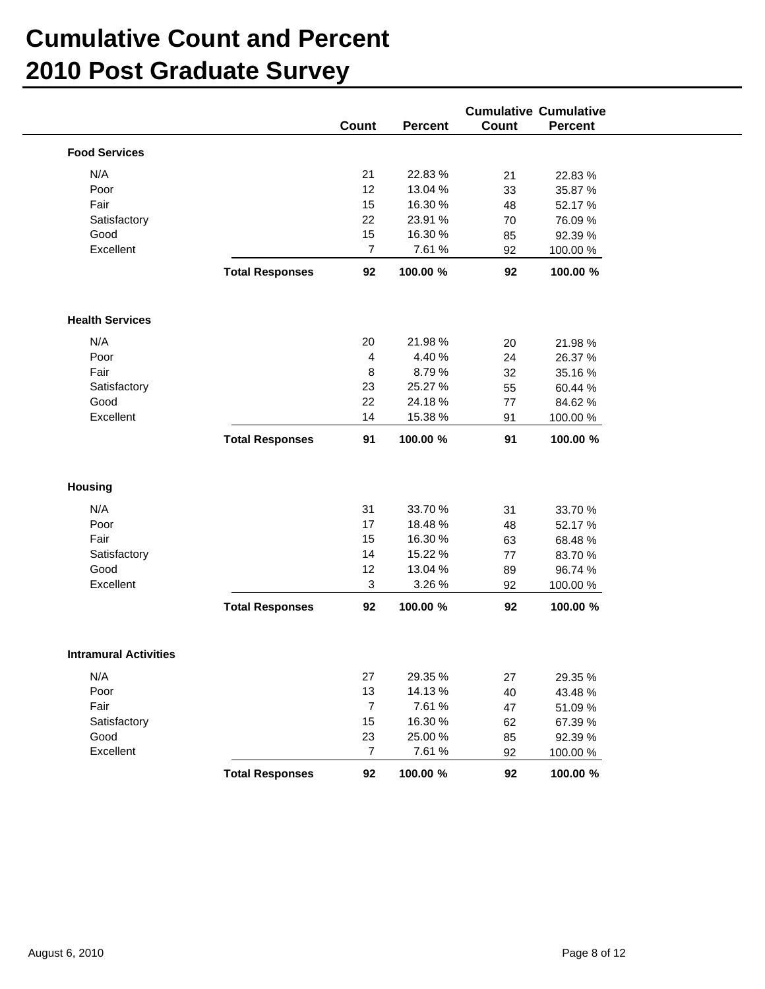| N/A<br>22.83 %<br>21<br>21<br>22.83 %<br>Poor<br>12<br>13.04 %<br>35.87 %<br>33<br>Fair<br>15<br>16.30 %<br>48<br>52.17 %<br>22<br>23.91 %<br>Satisfactory<br>70<br>76.09 %<br>Good<br>15<br>16.30 %<br>85<br>92.39 %<br>Excellent<br>$\overline{7}$<br>7.61 %<br>92<br>100.00 %<br><b>Total Responses</b><br>92<br>100.00 %<br>92<br>100.00 %<br>N/A<br>21.98%<br>20<br>21.98 %<br>20<br>4.40 %<br>Poor<br>4<br>24<br>26.37 %<br>Fair<br>8.79%<br>8<br>32<br>35.16%<br>25.27 %<br>Satisfactory<br>23<br>55<br>60.44 %<br>Good<br>22<br>24.18%<br>84.62%<br>77<br>Excellent<br>14<br>15.38 %<br>100.00 %<br>91<br>91<br><b>Total Responses</b><br>91<br>100.00 %<br>100.00 %<br>N/A<br>31<br>33.70 %<br>31<br>33.70 %<br>18.48 %<br>Poor<br>17<br>52.17 %<br>48<br>Fair<br>15<br>16.30 %<br>68.48%<br>63<br>15.22 %<br>14<br>Satisfactory<br>83.70 %<br>77<br>Good<br>13.04 %<br>12<br>96.74 %<br>89<br>Excellent<br>3.26 %<br>3<br>92<br>100.00 %<br>100.00 %<br>92<br>100.00 %<br><b>Total Responses</b><br>92<br>N/A<br>27<br>29.35 %<br>27<br>29.35 %<br>Poor<br>13<br>14.13 %<br>40<br>43.48 %<br>Fair<br>$\overline{7}$<br>7.61 %<br>51.09 %<br>47<br>Satisfactory<br>15<br>16.30 %<br>67.39 %<br>62<br>Good<br>23<br>25.00 %<br>85<br>92.39 %<br>Excellent<br>$\overline{7}$<br>7.61 %<br>92<br>100.00 % |                              |                        | Count | Percent  | Count | <b>Cumulative Cumulative</b><br>Percent |
|-----------------------------------------------------------------------------------------------------------------------------------------------------------------------------------------------------------------------------------------------------------------------------------------------------------------------------------------------------------------------------------------------------------------------------------------------------------------------------------------------------------------------------------------------------------------------------------------------------------------------------------------------------------------------------------------------------------------------------------------------------------------------------------------------------------------------------------------------------------------------------------------------------------------------------------------------------------------------------------------------------------------------------------------------------------------------------------------------------------------------------------------------------------------------------------------------------------------------------------------------------------------------------------------------------------------|------------------------------|------------------------|-------|----------|-------|-----------------------------------------|
|                                                                                                                                                                                                                                                                                                                                                                                                                                                                                                                                                                                                                                                                                                                                                                                                                                                                                                                                                                                                                                                                                                                                                                                                                                                                                                                 | <b>Food Services</b>         |                        |       |          |       |                                         |
|                                                                                                                                                                                                                                                                                                                                                                                                                                                                                                                                                                                                                                                                                                                                                                                                                                                                                                                                                                                                                                                                                                                                                                                                                                                                                                                 |                              |                        |       |          |       |                                         |
|                                                                                                                                                                                                                                                                                                                                                                                                                                                                                                                                                                                                                                                                                                                                                                                                                                                                                                                                                                                                                                                                                                                                                                                                                                                                                                                 |                              |                        |       |          |       |                                         |
|                                                                                                                                                                                                                                                                                                                                                                                                                                                                                                                                                                                                                                                                                                                                                                                                                                                                                                                                                                                                                                                                                                                                                                                                                                                                                                                 |                              |                        |       |          |       |                                         |
|                                                                                                                                                                                                                                                                                                                                                                                                                                                                                                                                                                                                                                                                                                                                                                                                                                                                                                                                                                                                                                                                                                                                                                                                                                                                                                                 |                              |                        |       |          |       |                                         |
|                                                                                                                                                                                                                                                                                                                                                                                                                                                                                                                                                                                                                                                                                                                                                                                                                                                                                                                                                                                                                                                                                                                                                                                                                                                                                                                 |                              |                        |       |          |       |                                         |
|                                                                                                                                                                                                                                                                                                                                                                                                                                                                                                                                                                                                                                                                                                                                                                                                                                                                                                                                                                                                                                                                                                                                                                                                                                                                                                                 |                              |                        |       |          |       |                                         |
|                                                                                                                                                                                                                                                                                                                                                                                                                                                                                                                                                                                                                                                                                                                                                                                                                                                                                                                                                                                                                                                                                                                                                                                                                                                                                                                 |                              |                        |       |          |       |                                         |
|                                                                                                                                                                                                                                                                                                                                                                                                                                                                                                                                                                                                                                                                                                                                                                                                                                                                                                                                                                                                                                                                                                                                                                                                                                                                                                                 | <b>Health Services</b>       |                        |       |          |       |                                         |
|                                                                                                                                                                                                                                                                                                                                                                                                                                                                                                                                                                                                                                                                                                                                                                                                                                                                                                                                                                                                                                                                                                                                                                                                                                                                                                                 |                              |                        |       |          |       |                                         |
|                                                                                                                                                                                                                                                                                                                                                                                                                                                                                                                                                                                                                                                                                                                                                                                                                                                                                                                                                                                                                                                                                                                                                                                                                                                                                                                 |                              |                        |       |          |       |                                         |
|                                                                                                                                                                                                                                                                                                                                                                                                                                                                                                                                                                                                                                                                                                                                                                                                                                                                                                                                                                                                                                                                                                                                                                                                                                                                                                                 |                              |                        |       |          |       |                                         |
|                                                                                                                                                                                                                                                                                                                                                                                                                                                                                                                                                                                                                                                                                                                                                                                                                                                                                                                                                                                                                                                                                                                                                                                                                                                                                                                 |                              |                        |       |          |       |                                         |
|                                                                                                                                                                                                                                                                                                                                                                                                                                                                                                                                                                                                                                                                                                                                                                                                                                                                                                                                                                                                                                                                                                                                                                                                                                                                                                                 |                              |                        |       |          |       |                                         |
|                                                                                                                                                                                                                                                                                                                                                                                                                                                                                                                                                                                                                                                                                                                                                                                                                                                                                                                                                                                                                                                                                                                                                                                                                                                                                                                 |                              |                        |       |          |       |                                         |
|                                                                                                                                                                                                                                                                                                                                                                                                                                                                                                                                                                                                                                                                                                                                                                                                                                                                                                                                                                                                                                                                                                                                                                                                                                                                                                                 |                              |                        |       |          |       |                                         |
|                                                                                                                                                                                                                                                                                                                                                                                                                                                                                                                                                                                                                                                                                                                                                                                                                                                                                                                                                                                                                                                                                                                                                                                                                                                                                                                 | <b>Housing</b>               |                        |       |          |       |                                         |
|                                                                                                                                                                                                                                                                                                                                                                                                                                                                                                                                                                                                                                                                                                                                                                                                                                                                                                                                                                                                                                                                                                                                                                                                                                                                                                                 |                              |                        |       |          |       |                                         |
|                                                                                                                                                                                                                                                                                                                                                                                                                                                                                                                                                                                                                                                                                                                                                                                                                                                                                                                                                                                                                                                                                                                                                                                                                                                                                                                 |                              |                        |       |          |       |                                         |
|                                                                                                                                                                                                                                                                                                                                                                                                                                                                                                                                                                                                                                                                                                                                                                                                                                                                                                                                                                                                                                                                                                                                                                                                                                                                                                                 |                              |                        |       |          |       |                                         |
|                                                                                                                                                                                                                                                                                                                                                                                                                                                                                                                                                                                                                                                                                                                                                                                                                                                                                                                                                                                                                                                                                                                                                                                                                                                                                                                 |                              |                        |       |          |       |                                         |
|                                                                                                                                                                                                                                                                                                                                                                                                                                                                                                                                                                                                                                                                                                                                                                                                                                                                                                                                                                                                                                                                                                                                                                                                                                                                                                                 |                              |                        |       |          |       |                                         |
|                                                                                                                                                                                                                                                                                                                                                                                                                                                                                                                                                                                                                                                                                                                                                                                                                                                                                                                                                                                                                                                                                                                                                                                                                                                                                                                 |                              |                        |       |          |       |                                         |
|                                                                                                                                                                                                                                                                                                                                                                                                                                                                                                                                                                                                                                                                                                                                                                                                                                                                                                                                                                                                                                                                                                                                                                                                                                                                                                                 |                              |                        |       |          |       |                                         |
|                                                                                                                                                                                                                                                                                                                                                                                                                                                                                                                                                                                                                                                                                                                                                                                                                                                                                                                                                                                                                                                                                                                                                                                                                                                                                                                 | <b>Intramural Activities</b> |                        |       |          |       |                                         |
|                                                                                                                                                                                                                                                                                                                                                                                                                                                                                                                                                                                                                                                                                                                                                                                                                                                                                                                                                                                                                                                                                                                                                                                                                                                                                                                 |                              |                        |       |          |       |                                         |
|                                                                                                                                                                                                                                                                                                                                                                                                                                                                                                                                                                                                                                                                                                                                                                                                                                                                                                                                                                                                                                                                                                                                                                                                                                                                                                                 |                              |                        |       |          |       |                                         |
|                                                                                                                                                                                                                                                                                                                                                                                                                                                                                                                                                                                                                                                                                                                                                                                                                                                                                                                                                                                                                                                                                                                                                                                                                                                                                                                 |                              |                        |       |          |       |                                         |
|                                                                                                                                                                                                                                                                                                                                                                                                                                                                                                                                                                                                                                                                                                                                                                                                                                                                                                                                                                                                                                                                                                                                                                                                                                                                                                                 |                              |                        |       |          |       |                                         |
|                                                                                                                                                                                                                                                                                                                                                                                                                                                                                                                                                                                                                                                                                                                                                                                                                                                                                                                                                                                                                                                                                                                                                                                                                                                                                                                 |                              |                        |       |          |       |                                         |
|                                                                                                                                                                                                                                                                                                                                                                                                                                                                                                                                                                                                                                                                                                                                                                                                                                                                                                                                                                                                                                                                                                                                                                                                                                                                                                                 |                              |                        |       |          |       |                                         |
|                                                                                                                                                                                                                                                                                                                                                                                                                                                                                                                                                                                                                                                                                                                                                                                                                                                                                                                                                                                                                                                                                                                                                                                                                                                                                                                 |                              | <b>Total Responses</b> | 92    | 100.00 % | 92    | 100.00 %                                |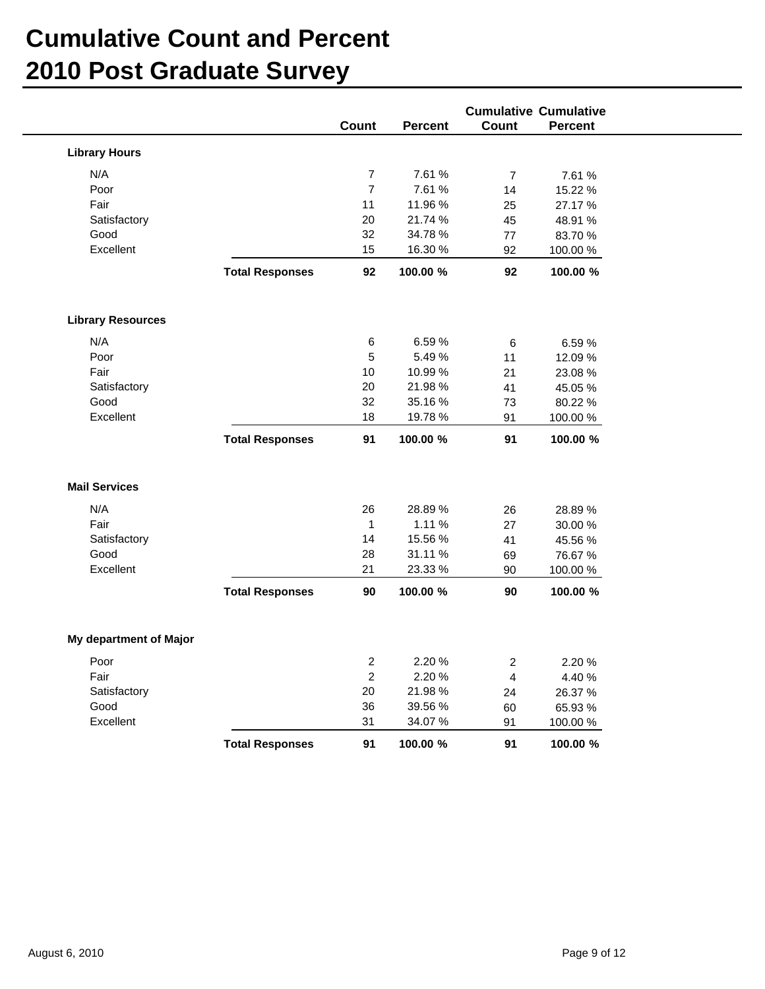|                          |                        | <b>Cumulative Cumulative</b> |                    |                |                     |  |  |  |
|--------------------------|------------------------|------------------------------|--------------------|----------------|---------------------|--|--|--|
|                          |                        | Count                        | <b>Percent</b>     | Count          | Percent             |  |  |  |
| <b>Library Hours</b>     |                        |                              |                    |                |                     |  |  |  |
| N/A                      |                        | $\boldsymbol{7}$             | 7.61 %             | $\overline{7}$ | 7.61 %              |  |  |  |
| Poor                     |                        | $\overline{7}$               | 7.61 %             | 14             | 15.22 %             |  |  |  |
| Fair                     |                        | 11                           | 11.96 %            | 25             | 27.17 %             |  |  |  |
| Satisfactory             |                        | 20                           | 21.74 %            | 45             | 48.91 %             |  |  |  |
| Good                     |                        | 32                           | 34.78 %            | 77             | 83.70 %             |  |  |  |
| Excellent                |                        | 15                           | 16.30 %            | 92             | 100.00 %            |  |  |  |
|                          | <b>Total Responses</b> | 92                           | 100.00 %           | 92             | 100.00 %            |  |  |  |
| <b>Library Resources</b> |                        |                              |                    |                |                     |  |  |  |
| N/A                      |                        | 6                            | 6.59%              | $\,6\,$        | 6.59%               |  |  |  |
| Poor                     |                        | 5                            | 5.49 %             | 11             | 12.09%              |  |  |  |
| Fair                     |                        | 10                           | 10.99 %            | 21             | 23.08 %             |  |  |  |
| Satisfactory             |                        | 20                           | 21.98%             | 41             | 45.05 %             |  |  |  |
| Good                     |                        | 32                           | 35.16%             | 73             | 80.22 %             |  |  |  |
| Excellent                |                        | 18                           | 19.78 %            | 91             | 100.00%             |  |  |  |
|                          | <b>Total Responses</b> | 91                           | 100.00 %           | 91             | 100.00 %            |  |  |  |
| <b>Mail Services</b>     |                        |                              |                    |                |                     |  |  |  |
| N/A                      |                        | 26                           | 28.89%             | 26             | 28.89%              |  |  |  |
| Fair                     |                        | $\mathbf{1}$                 | 1.11 %             | 27             | 30.00 %             |  |  |  |
| Satisfactory             |                        | 14                           | 15.56 %            | 41             | 45.56 %             |  |  |  |
| Good                     |                        | 28                           | 31.11 %            | 69             | 76.67 %             |  |  |  |
| Excellent                |                        | 21                           | 23.33 %            | 90             | 100.00 %            |  |  |  |
|                          | <b>Total Responses</b> | 90                           | 100.00 %           | 90             | 100.00 %            |  |  |  |
| My department of Major   |                        |                              |                    |                |                     |  |  |  |
| Poor                     |                        | $\overline{c}$               | 2.20%              | 2              | 2.20 %              |  |  |  |
| Fair                     |                        | $\overline{c}$               | 2.20 %             | $\overline{4}$ | 4.40 %              |  |  |  |
| Satisfactory             |                        |                              |                    | 24             | 26.37 %             |  |  |  |
|                          |                        |                              |                    |                |                     |  |  |  |
|                          |                        | $20\,$                       | 21.98%             |                |                     |  |  |  |
| Good<br>Excellent        |                        | 36<br>31                     | 39.56 %<br>34.07 % | 60<br>91       | 65.93 %<br>100.00 % |  |  |  |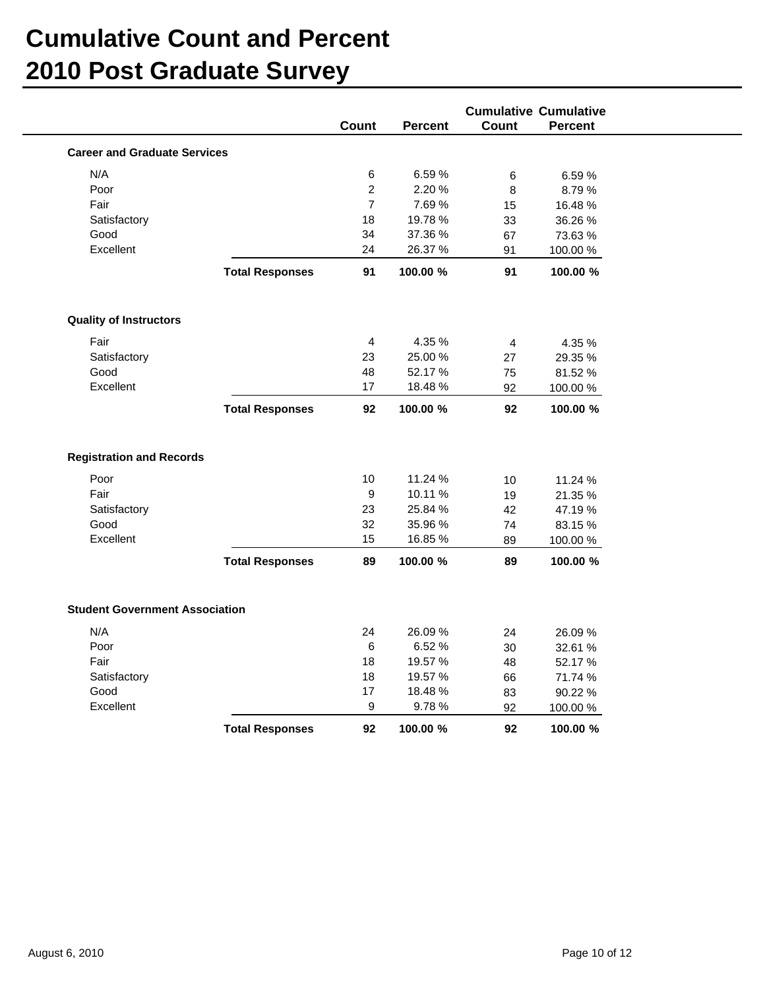|                                       |                        | <b>Cumulative Cumulative</b> |                |              |                |  |  |
|---------------------------------------|------------------------|------------------------------|----------------|--------------|----------------|--|--|
|                                       |                        | Count                        | <b>Percent</b> | <b>Count</b> | <b>Percent</b> |  |  |
| <b>Career and Graduate Services</b>   |                        |                              |                |              |                |  |  |
|                                       |                        |                              |                |              |                |  |  |
| N/A                                   |                        | 6                            | 6.59%          | $\,6$        | 6.59%          |  |  |
| Poor                                  |                        | $\overline{2}$               | 2.20%          | 8            | 8.79%          |  |  |
| Fair                                  |                        | $\overline{7}$               | 7.69%          | 15           | 16.48%         |  |  |
| Satisfactory                          |                        | 18                           | 19.78 %        | 33           | 36.26 %        |  |  |
| Good                                  |                        | 34                           | 37.36 %        | 67           | 73.63 %        |  |  |
| Excellent                             |                        | 24                           | 26.37 %        | 91           | 100.00%        |  |  |
|                                       | <b>Total Responses</b> | 91                           | 100.00 %       | 91           | 100.00 %       |  |  |
| <b>Quality of Instructors</b>         |                        |                              |                |              |                |  |  |
| Fair                                  |                        | $\overline{4}$               | 4.35 %         | 4            | 4.35 %         |  |  |
| Satisfactory                          |                        | 23                           | 25.00 %        | 27           | 29.35 %        |  |  |
| Good                                  |                        | 48                           | 52.17 %        | 75           | 81.52 %        |  |  |
| Excellent                             |                        | 17                           | 18.48%         | 92           | 100.00 %       |  |  |
|                                       | <b>Total Responses</b> | 92                           | 100.00 %       | 92           | 100.00 %       |  |  |
| <b>Registration and Records</b>       |                        |                              |                |              |                |  |  |
| Poor                                  |                        | 10                           | 11.24 %        | 10           | 11.24 %        |  |  |
| Fair                                  |                        | $\mathsf g$                  | 10.11 %        | 19           | 21.35 %        |  |  |
| Satisfactory                          |                        | 23                           | 25.84 %        | 42           | 47.19%         |  |  |
| Good                                  |                        | 32                           | 35.96 %        | 74           | 83.15%         |  |  |
| Excellent                             |                        | 15                           | 16.85 %        | 89           | 100.00 %       |  |  |
|                                       | <b>Total Responses</b> | 89                           | 100.00 %       | 89           | 100.00 %       |  |  |
| <b>Student Government Association</b> |                        |                              |                |              |                |  |  |
| N/A                                   |                        | 24                           | 26.09%         | 24           | 26.09%         |  |  |
| Poor                                  |                        | 6                            | 6.52%          | 30           | 32.61 %        |  |  |
| Fair                                  |                        | 18                           | 19.57 %        | 48           | 52.17 %        |  |  |
| Satisfactory                          |                        | 18                           | 19.57 %        | 66           | 71.74 %        |  |  |
| Good                                  |                        | 17                           | 18.48 %        | 83           | 90.22 %        |  |  |
| Excellent                             |                        | $\boldsymbol{9}$             | 9.78%          | 92           | 100.00%        |  |  |
|                                       | <b>Total Responses</b> | 92                           | 100.00 %       | 92           | 100.00 %       |  |  |
|                                       |                        |                              |                |              |                |  |  |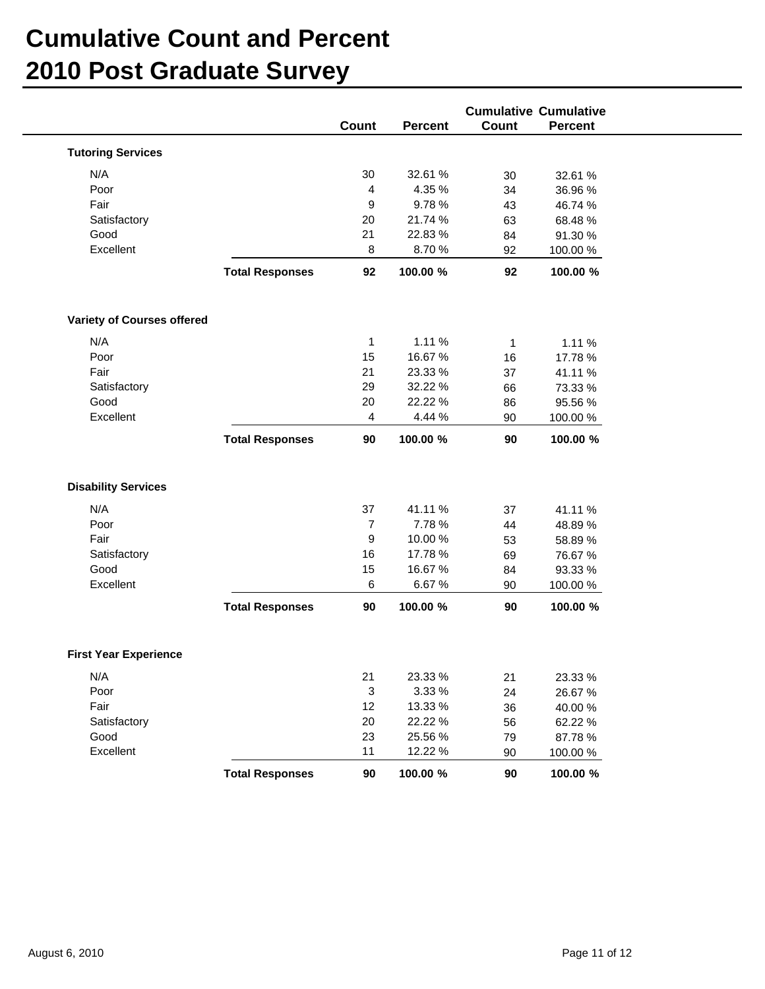|                              |                        | Count            | <b>Percent</b> | Count        | <b>Cumulative Cumulative</b><br>Percent |  |
|------------------------------|------------------------|------------------|----------------|--------------|-----------------------------------------|--|
|                              |                        |                  |                |              |                                         |  |
| <b>Tutoring Services</b>     |                        |                  |                |              |                                         |  |
| N/A                          |                        | 30               | 32.61 %        | 30           | 32.61 %                                 |  |
| Poor                         |                        | 4                | 4.35 %         | 34           | 36.96 %                                 |  |
| Fair                         |                        | 9                | 9.78%          | 43           | 46.74 %                                 |  |
| Satisfactory                 |                        | 20               | 21.74 %        | 63           | 68.48%                                  |  |
| Good                         |                        | 21               | 22.83 %        | 84           | 91.30 %                                 |  |
| Excellent                    |                        | 8                | 8.70%          | 92           | 100.00 %                                |  |
|                              | <b>Total Responses</b> | 92               | 100.00 %       | 92           | 100.00 %                                |  |
| Variety of Courses offered   |                        |                  |                |              |                                         |  |
| N/A                          |                        | $\mathbf{1}$     | 1.11 %         | $\mathbf{1}$ | 1.11 %                                  |  |
| Poor                         |                        | 15               | 16.67%         | 16           | 17.78 %                                 |  |
| Fair                         |                        | 21               | 23.33 %        | 37           | 41.11 %                                 |  |
| Satisfactory                 |                        | 29               | 32.22 %        | 66           | 73.33 %                                 |  |
| Good                         |                        | 20               | 22.22 %        | 86           | 95.56 %                                 |  |
| Excellent                    |                        | $\overline{4}$   | 4.44 %         | 90           | 100.00 %                                |  |
|                              | <b>Total Responses</b> | 90               | 100.00 %       | 90           | 100.00 %                                |  |
| <b>Disability Services</b>   |                        |                  |                |              |                                         |  |
| N/A                          |                        | 37               | 41.11 %        | 37           | 41.11 %                                 |  |
| Poor                         |                        | $\boldsymbol{7}$ | 7.78 %         | 44           | 48.89%                                  |  |
| Fair                         |                        | 9                | 10.00 %        | 53           | 58.89 %                                 |  |
| Satisfactory                 |                        | 16               | 17.78 %        | 69           | 76.67 %                                 |  |
| Good                         |                        | 15               | 16.67 %        | 84           | 93.33 %                                 |  |
| Excellent                    |                        | 6                | 6.67%          | 90           | 100.00 %                                |  |
|                              | <b>Total Responses</b> | 90               | 100.00 %       | 90           | 100.00 %                                |  |
| <b>First Year Experience</b> |                        |                  |                |              |                                         |  |
| N/A                          |                        | 21               | 23.33 %        | 21           | 23.33 %                                 |  |
| Poor                         |                        | 3                | 3.33 %         | 24           | 26.67 %                                 |  |
| Fair                         |                        | 12               | 13.33 %        | 36           | 40.00 %                                 |  |
| Satisfactory                 |                        | 20               | 22.22 %        | 56           | 62.22 %                                 |  |
| Good                         |                        | 23               | 25.56 %        | 79           | 87.78 %                                 |  |
| Excellent                    |                        | 11               | 12.22 %        | 90           | 100.00 %                                |  |
|                              | <b>Total Responses</b> |                  |                | 90           | 100.00 %                                |  |
|                              |                        | $90\,$           | 100.00 %       |              |                                         |  |